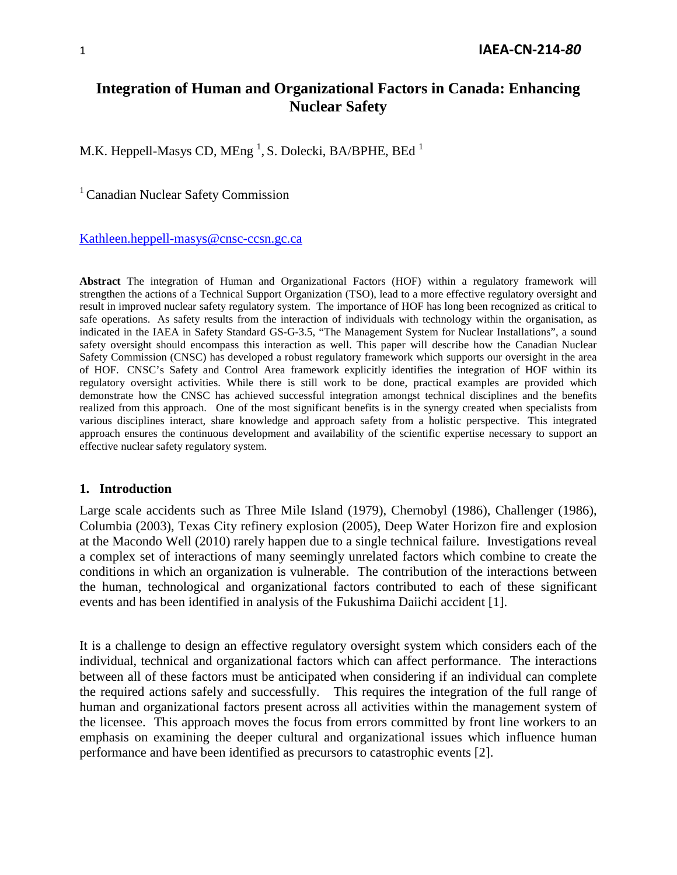# **Integration of Human and Organizational Factors in Canada: Enhancing Nuclear Safety**

M.K. Heppell-Masys CD, MEng  $^1$ , S. Dolecki, BA/BPHE, BEd  $^1$ 

<sup>1</sup> Canadian Nuclear Safety Commission

[Kathleen.heppell-masys@cnsc-ccsn.gc.ca](mailto:Kathleen.heppell-masys@cnsc-ccsn.gc.ca)

**Abstract** The integration of Human and Organizational Factors (HOF) within a regulatory framework will strengthen the actions of a Technical Support Organization (TSO), lead to a more effective regulatory oversight and result in improved nuclear safety regulatory system. The importance of HOF has long been recognized as critical to safe operations. As safety results from the interaction of individuals with technology within the organisation, as indicated in the IAEA in Safety Standard GS-G-3.5, "The Management System for Nuclear Installations", a sound safety oversight should encompass this interaction as well. This paper will describe how the Canadian Nuclear Safety Commission (CNSC) has developed a robust regulatory framework which supports our oversight in the area of HOF. CNSC's Safety and Control Area framework explicitly identifies the integration of HOF within its regulatory oversight activities. While there is still work to be done, practical examples are provided which demonstrate how the CNSC has achieved successful integration amongst technical disciplines and the benefits realized from this approach. One of the most significant benefits is in the synergy created when specialists from various disciplines interact, share knowledge and approach safety from a holistic perspective. This integrated approach ensures the continuous development and availability of the scientific expertise necessary to support an effective nuclear safety regulatory system.

#### **1. Introduction**

Large scale accidents such as Three Mile Island (1979), Chernobyl (1986), Challenger (1986), Columbia (2003), Texas City refinery explosion (2005), Deep Water Horizon fire and explosion at the Macondo Well (2010) rarely happen due to a single technical failure. Investigations reveal a complex set of interactions of many seemingly unrelated factors which combine to create the conditions in which an organization is vulnerable. The contribution of the interactions between the human, technological and organizational factors contributed to each of these significant events and has been identified in analysis of the Fukushima Daiichi accident [1].

It is a challenge to design an effective regulatory oversight system which considers each of the individual, technical and organizational factors which can affect performance. The interactions between all of these factors must be anticipated when considering if an individual can complete the required actions safely and successfully. This requires the integration of the full range of human and organizational factors present across all activities within the management system of the licensee. This approach moves the focus from errors committed by front line workers to an emphasis on examining the deeper cultural and organizational issues which influence human performance and have been identified as precursors to catastrophic events [2].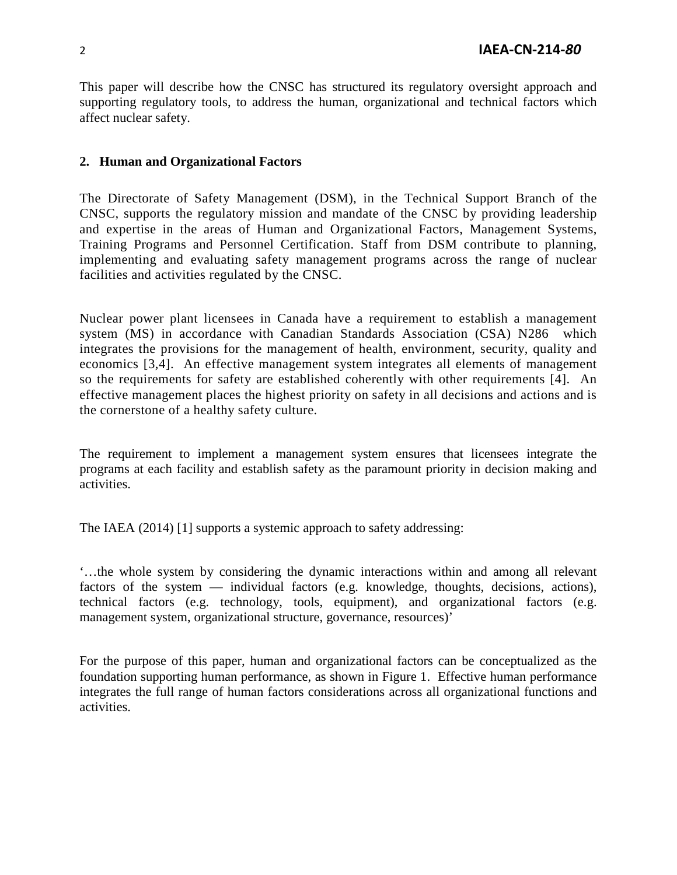This paper will describe how the CNSC has structured its regulatory oversight approach and supporting regulatory tools, to address the human, organizational and technical factors which affect nuclear safety.

## **2. Human and Organizational Factors**

The Directorate of Safety Management (DSM), in the Technical Support Branch of the CNSC, supports the regulatory mission and mandate of the CNSC by providing leadership and expertise in the areas of Human and Organizational Factors, Management Systems, Training Programs and Personnel Certification. Staff from DSM contribute to planning, implementing and evaluating safety management programs across the range of nuclear facilities and activities regulated by the CNSC.

Nuclear power plant licensees in Canada have a requirement to establish a management system (MS) in accordance with Canadian Standards Association (CSA) N286 which integrates the provisions for the management of health, environment, security, quality and economics [3,4]. An effective management system integrates all elements of management so the requirements for safety are established coherently with other requirements [4]. An effective management places the highest priority on safety in all decisions and actions and is the cornerstone of a healthy safety culture.

The requirement to implement a management system ensures that licensees integrate the programs at each facility and establish safety as the paramount priority in decision making and activities.

The IAEA (2014) [1] supports a systemic approach to safety addressing:

'…the whole system by considering the dynamic interactions within and among all relevant factors of the system — individual factors (e.g. knowledge, thoughts, decisions, actions), technical factors (e.g. technology, tools, equipment), and organizational factors (e.g. management system, organizational structure, governance, resources)'

For the purpose of this paper, human and organizational factors can be conceptualized as the foundation supporting human performance, as shown in Figure 1. Effective human performance integrates the full range of human factors considerations across all organizational functions and activities.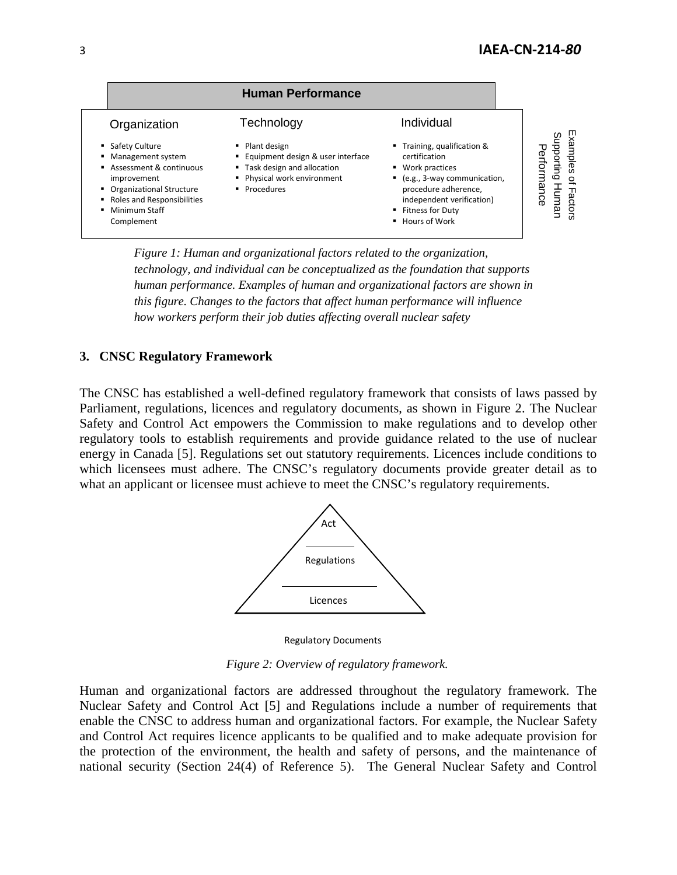

*Figure 1: Human and organizational factors related to the organization, technology, and individual can be conceptualized as the foundation that supports human performance. Examples of human and organizational factors are shown in this figure. Changes to the factors that affect human performance will influence how workers perform their job duties affecting overall nuclear safety* 

### **3. CNSC Regulatory Framework**

The CNSC has established a well-defined regulatory framework that consists of laws passed by Parliament, regulations, licences and regulatory documents, as shown in Figure 2. The Nuclear Safety and Control Act empowers the Commission to make regulations and to develop other regulatory tools to establish requirements and provide guidance related to the use of nuclear energy in Canada [5]. Regulations set out statutory requirements. Licences include conditions to which licensees must adhere. The CNSC's regulatory documents provide greater detail as to what an applicant or licensee must achieve to meet the CNSC's regulatory requirements.



Regulatory Documents

*Figure 2: Overview of regulatory framework.*

Human and organizational factors are addressed throughout the regulatory framework. The Nuclear Safety and Control Act [5] and Regulations include a number of requirements that enable the CNSC to address human and organizational factors. For example, the Nuclear Safety and Control Act requires licence applicants to be qualified and to make adequate provision for the protection of the environment, the health and safety of persons, and the maintenance of national security (Section 24(4) of Reference 5). The General Nuclear Safety and Control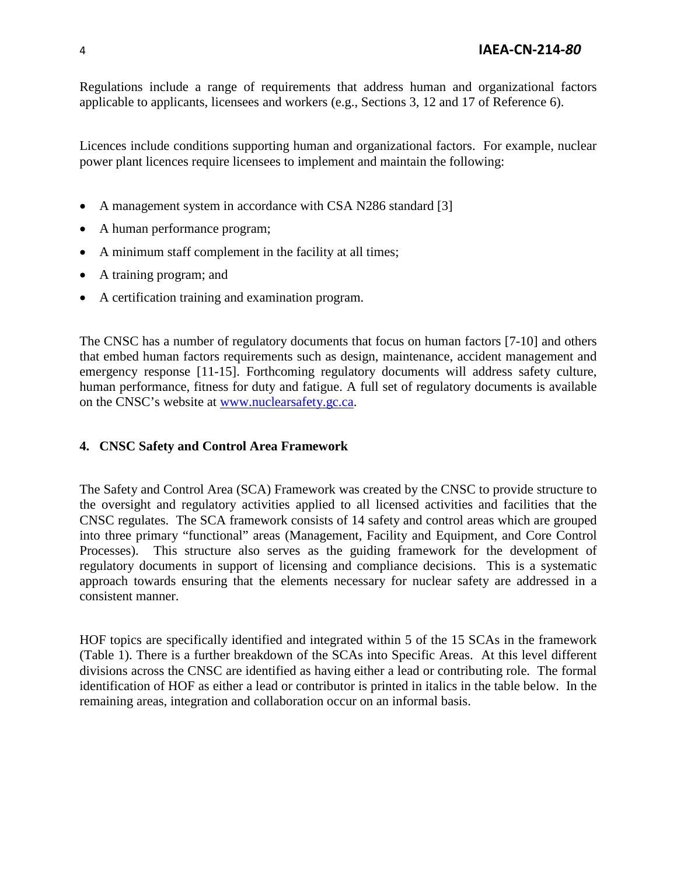Regulations include a range of requirements that address human and organizational factors applicable to applicants, licensees and workers (e.g., Sections 3, 12 and 17 of Reference 6).

Licences include conditions supporting human and organizational factors. For example, nuclear power plant licences require licensees to implement and maintain the following:

- A management system in accordance with CSA N286 standard [3]
- A human performance program;
- A minimum staff complement in the facility at all times;
- A training program; and
- A certification training and examination program.

The CNSC has a number of regulatory documents that focus on human factors [7-10] and others that embed human factors requirements such as design, maintenance, accident management and emergency response [11-15]. Forthcoming regulatory documents will address safety culture, human performance, fitness for duty and fatigue. A full set of regulatory documents is available on the CNSC's website at [www.nuclearsafety.gc.ca.](http://www.nuclearsafety.gc.ca/)

## **4. CNSC Safety and Control Area Framework**

The Safety and Control Area (SCA) Framework was created by the CNSC to provide structure to the oversight and regulatory activities applied to all licensed activities and facilities that the CNSC regulates. The SCA framework consists of 14 safety and control areas which are grouped into three primary "functional" areas (Management, Facility and Equipment, and Core Control Processes). This structure also serves as the guiding framework for the development of regulatory documents in support of licensing and compliance decisions. This is a systematic approach towards ensuring that the elements necessary for nuclear safety are addressed in a consistent manner.

HOF topics are specifically identified and integrated within 5 of the 15 SCAs in the framework (Table 1). There is a further breakdown of the SCAs into Specific Areas. At this level different divisions across the CNSC are identified as having either a lead or contributing role. The formal identification of HOF as either a lead or contributor is printed in italics in the table below. In the remaining areas, integration and collaboration occur on an informal basis.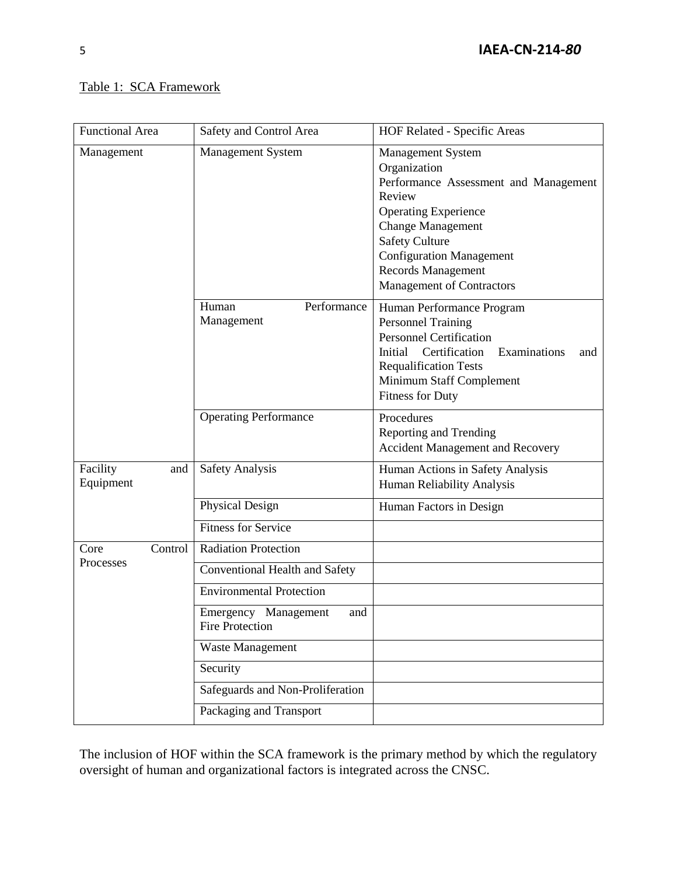# Table 1: SCA Framework

| <b>Functional Area</b>       | Safety and Control Area                               | HOF Related - Specific Areas                                                                                                                                                                                                                                                        |
|------------------------------|-------------------------------------------------------|-------------------------------------------------------------------------------------------------------------------------------------------------------------------------------------------------------------------------------------------------------------------------------------|
| Management                   | Management System                                     | <b>Management System</b><br>Organization<br>Performance Assessment and Management<br>Review<br><b>Operating Experience</b><br><b>Change Management</b><br><b>Safety Culture</b><br><b>Configuration Management</b><br><b>Records Management</b><br><b>Management of Contractors</b> |
|                              | Performance<br>Human<br>Management                    | Human Performance Program<br><b>Personnel Training</b><br><b>Personnel Certification</b><br>Certification<br>Examinations<br>Initial<br>and<br><b>Requalification Tests</b><br>Minimum Staff Complement<br><b>Fitness for Duty</b>                                                  |
|                              | <b>Operating Performance</b>                          | Procedures<br><b>Reporting and Trending</b><br><b>Accident Management and Recovery</b>                                                                                                                                                                                              |
| Facility<br>and<br>Equipment | <b>Safety Analysis</b>                                | Human Actions in Safety Analysis<br>Human Reliability Analysis                                                                                                                                                                                                                      |
|                              | Physical Design                                       | Human Factors in Design                                                                                                                                                                                                                                                             |
|                              | <b>Fitness for Service</b>                            |                                                                                                                                                                                                                                                                                     |
| Control<br>Core<br>Processes | <b>Radiation Protection</b>                           |                                                                                                                                                                                                                                                                                     |
|                              | Conventional Health and Safety                        |                                                                                                                                                                                                                                                                                     |
|                              | <b>Environmental Protection</b>                       |                                                                                                                                                                                                                                                                                     |
|                              | Emergency Management<br>and<br><b>Fire Protection</b> |                                                                                                                                                                                                                                                                                     |
|                              | <b>Waste Management</b>                               |                                                                                                                                                                                                                                                                                     |
|                              | Security                                              |                                                                                                                                                                                                                                                                                     |
|                              | Safeguards and Non-Proliferation                      |                                                                                                                                                                                                                                                                                     |
|                              | Packaging and Transport                               |                                                                                                                                                                                                                                                                                     |

The inclusion of HOF within the SCA framework is the primary method by which the regulatory oversight of human and organizational factors is integrated across the CNSC.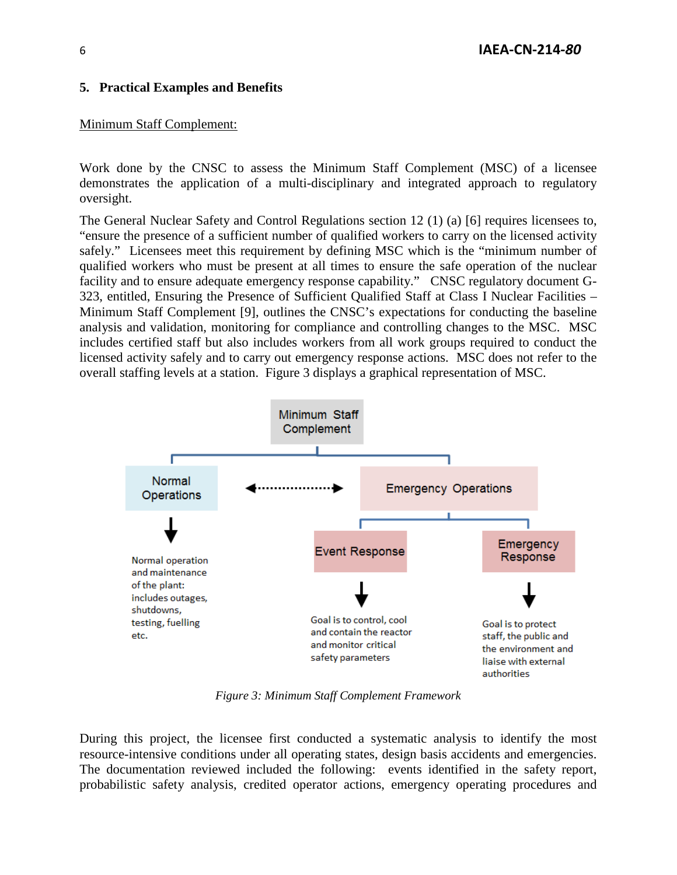#### **5. Practical Examples and Benefits**

#### Minimum Staff Complement:

Work done by the CNSC to assess the Minimum Staff Complement (MSC) of a licensee demonstrates the application of a multi-disciplinary and integrated approach to regulatory oversight.

The General Nuclear Safety and Control Regulations section 12 (1) (a) [6] requires licensees to, "ensure the presence of a sufficient number of qualified workers to carry on the licensed activity safely." Licensees meet this requirement by defining MSC which is the "minimum number of qualified workers who must be present at all times to ensure the safe operation of the nuclear facility and to ensure adequate emergency response capability." CNSC regulatory document G-323, entitled, Ensuring the Presence of Sufficient Qualified Staff at Class I Nuclear Facilities – Minimum Staff Complement [9], outlines the CNSC's expectations for conducting the baseline analysis and validation, monitoring for compliance and controlling changes to the MSC. MSC includes certified staff but also includes workers from all work groups required to conduct the licensed activity safely and to carry out emergency response actions. MSC does not refer to the overall staffing levels at a station. Figure 3 displays a graphical representation of MSC.



*Figure 3: Minimum Staff Complement Framework*

During this project, the licensee first conducted a systematic analysis to identify the most resource-intensive conditions under all operating states, design basis accidents and emergencies. The documentation reviewed included the following: events identified in the safety report, probabilistic safety analysis, credited operator actions, emergency operating procedures and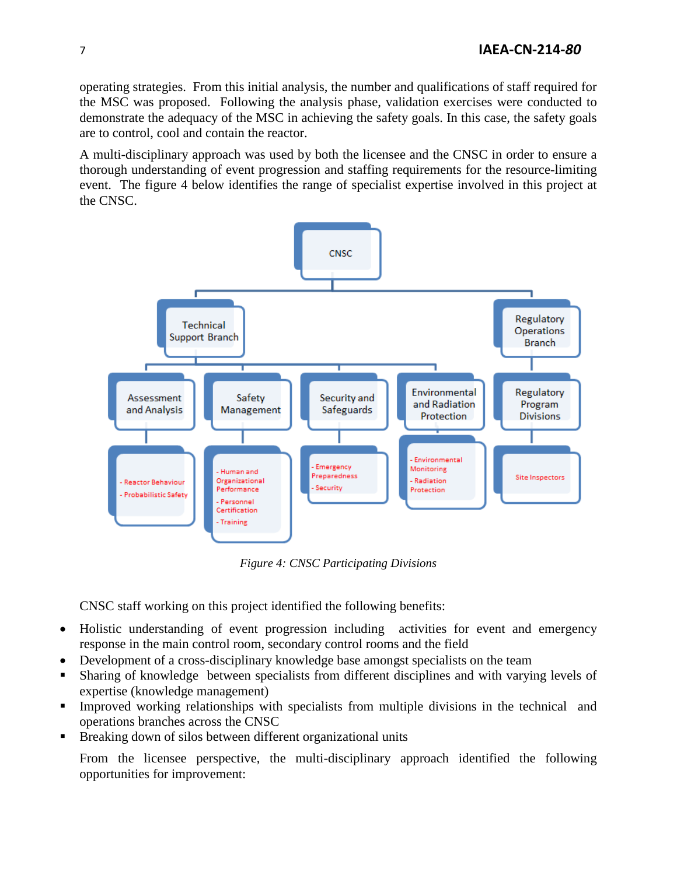operating strategies. From this initial analysis, the number and qualifications of staff required for the MSC was proposed. Following the analysis phase, validation exercises were conducted to demonstrate the adequacy of the MSC in achieving the safety goals. In this case, the safety goals are to control, cool and contain the reactor.

A multi-disciplinary approach was used by both the licensee and the CNSC in order to ensure a thorough understanding of event progression and staffing requirements for the resource-limiting event. The figure 4 below identifies the range of specialist expertise involved in this project at the CNSC.



*Figure 4: CNSC Participating Divisions*

CNSC staff working on this project identified the following benefits:

- Holistic understanding of event progression including activities for event and emergency response in the main control room, secondary control rooms and the field
- Development of a cross-disciplinary knowledge base amongst specialists on the team
- Sharing of knowledge between specialists from different disciplines and with varying levels of expertise (knowledge management)
- Improved working relationships with specialists from multiple divisions in the technical and operations branches across the CNSC
- **Breaking down of silos between different organizational units**

From the licensee perspective, the multi-disciplinary approach identified the following opportunities for improvement: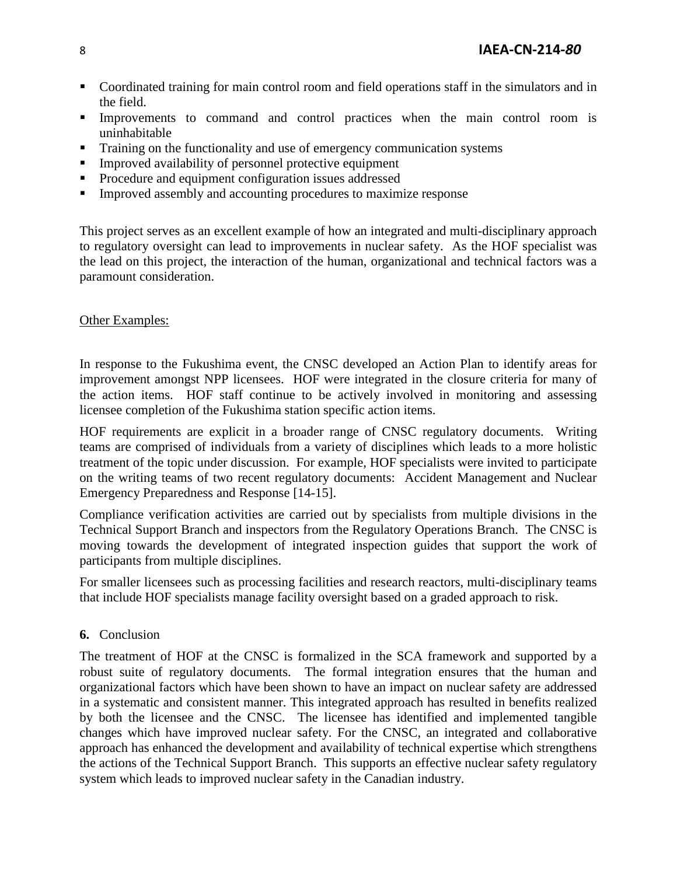- Coordinated training for main control room and field operations staff in the simulators and in the field.
- Improvements to command and control practices when the main control room is uninhabitable
- Training on the functionality and use of emergency communication systems
- **Improved availability of personnel protective equipment**
- Procedure and equipment configuration issues addressed
- **IMPROVED 4** Improved assembly and accounting procedures to maximize response

This project serves as an excellent example of how an integrated and multi-disciplinary approach to regulatory oversight can lead to improvements in nuclear safety. As the HOF specialist was the lead on this project, the interaction of the human, organizational and technical factors was a paramount consideration.

#### Other Examples:

In response to the Fukushima event, the CNSC developed an Action Plan to identify areas for improvement amongst NPP licensees. HOF were integrated in the closure criteria for many of the action items. HOF staff continue to be actively involved in monitoring and assessing licensee completion of the Fukushima station specific action items.

HOF requirements are explicit in a broader range of CNSC regulatory documents. Writing teams are comprised of individuals from a variety of disciplines which leads to a more holistic treatment of the topic under discussion. For example, HOF specialists were invited to participate on the writing teams of two recent regulatory documents: Accident Management and Nuclear Emergency Preparedness and Response [14-15].

Compliance verification activities are carried out by specialists from multiple divisions in the Technical Support Branch and inspectors from the Regulatory Operations Branch. The CNSC is moving towards the development of integrated inspection guides that support the work of participants from multiple disciplines.

For smaller licensees such as processing facilities and research reactors, multi-disciplinary teams that include HOF specialists manage facility oversight based on a graded approach to risk.

### **6.** Conclusion

The treatment of HOF at the CNSC is formalized in the SCA framework and supported by a robust suite of regulatory documents. The formal integration ensures that the human and organizational factors which have been shown to have an impact on nuclear safety are addressed in a systematic and consistent manner. This integrated approach has resulted in benefits realized by both the licensee and the CNSC. The licensee has identified and implemented tangible changes which have improved nuclear safety. For the CNSC, an integrated and collaborative approach has enhanced the development and availability of technical expertise which strengthens the actions of the Technical Support Branch. This supports an effective nuclear safety regulatory system which leads to improved nuclear safety in the Canadian industry.